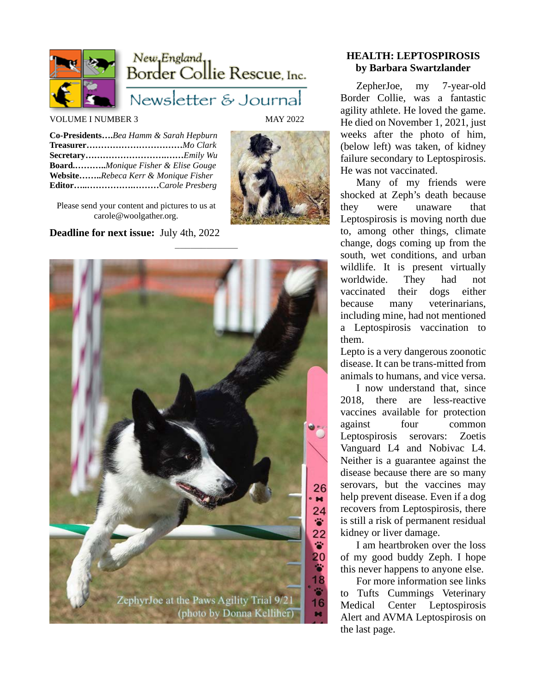

# New, England, Border Collie Rescue, Inc.

# Newsletter & Journal

VOLUME I NUMBER 3 MAY 2022

**Co-Presidents….***Bea Hamm & Sarah Hepburn* **Treasurer……………………………***Mo Clark* **Secretary……………………….……***Emily Wu* **Board.………..***Monique Fisher & Elise Gouge* **Website……..***Rebeca Kerr & Monique Fisher* **Editor…..…………….………**C*arole Presberg*

Please send your content and pictures to us at [carole@woolgather.org.](mailto:carole@woolgather.org)





### **HEALTH: LEPTOSPIROSIS by Barbara Swartzlander**

ZepherJoe, my 7-year-old Border Collie, was a fantastic agility athlete. He loved the game. He died on November 1, 2021, just weeks after the photo of him, (below left) was taken, of kidney failure secondary to Leptospirosis. He was not vaccinated.

Many of my friends were shocked at Zeph's death because they were unaware that Leptospirosis is moving north due to, among other things, climate change, dogs coming up from the south, wet conditions, and urban wildlife. It is present virtually worldwide. They had not vaccinated their dogs either because many veterinarians, including mine, had not mentioned a Leptospirosis vaccination to them.

Lepto is a very dangerous zoonotic disease. It can be trans-mitted from animals to humans, and vice versa.

I now understand that, since 2018, there are less-reactive vaccines available for protection against four common Leptospirosis serovars: Zoetis Vanguard L4 and Nobivac L4. Neither is a guarantee against the disease because there are so many serovars, but the vaccines may help prevent disease. Even if a dog recovers from Leptospirosis, there is still a risk of permanent residual kidney or liver damage.

I am heartbroken over the loss of my good buddy Zeph. I hope this never happens to anyone else.

For more information see links to Tufts Cummings Veterinary Medical Center Leptospirosis Alert and AVMA Leptospirosis on the last page.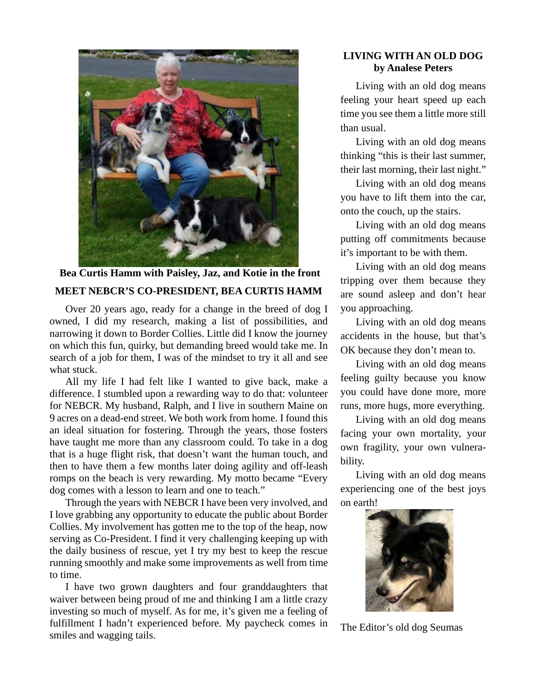

**Bea Curtis Hamm with Paisley, Jaz, and Kotie in the front MEET NEBCR'S CO-PRESIDENT, BEA CURTIS HAMM**

Over 20 years ago, ready for a change in the breed of dog I owned, I did my research, making a list of possibilities, and narrowing it down to Border Collies. Little did I know the journey on which this fun, quirky, but demanding breed would take me. In search of a job for them, I was of the mindset to try it all and see what stuck.

All my life I had felt like I wanted to give back, make a difference. I stumbled upon a rewarding way to do that: volunteer for NEBCR. My husband, Ralph, and I live in southern Maine on 9 acres on a dead-end street. We both work from home. I found this an ideal situation for fostering. Through the years, those fosters have taught me more than any classroom could. To take in a dog that is a huge flight risk, that doesn't want the human touch, and then to have them a few months later doing agility and off-leash romps on the beach is very rewarding. My motto became "Every dog comes with a lesson to learn and one to teach."

Through the years with NEBCR I have been very involved, and I love grabbing any opportunity to educate the public about Border Collies. My involvement has gotten me to the top of the heap, now serving as Co-President. I find it very challenging keeping up with the daily business of rescue, yet I try my best to keep the rescue running smoothly and make some improvements as well from time to time.

I have two grown daughters and four granddaughters that waiver between being proud of me and thinking I am a little crazy investing so much of myself. As for me, it's given me a feeling of fulfillment I hadn't experienced before. My paycheck comes in smiles and wagging tails.

### **LIVING WITH AN OLD DOG by Analese Peters**

Living with an old dog means feeling your heart speed up each time you see them a little more still than usual.

Living with an old dog means thinking "this is their last summer, their last morning, their last night."

Living with an old dog means you have to lift them into the car, onto the couch, up the stairs.

Living with an old dog means putting off commitments because it's important to be with them.

Living with an old dog means tripping over them because they are sound asleep and don't hear you approaching.

Living with an old dog means accidents in the house, but that's OK because they don't mean to.

Living with an old dog means feeling guilty because you know you could have done more, more runs, more hugs, more everything.

Living with an old dog means facing your own mortality, your own fragility, your own vulnerability.

Living with an old dog means experiencing one of the best joys on earth!



The Editor's old dog Seumas